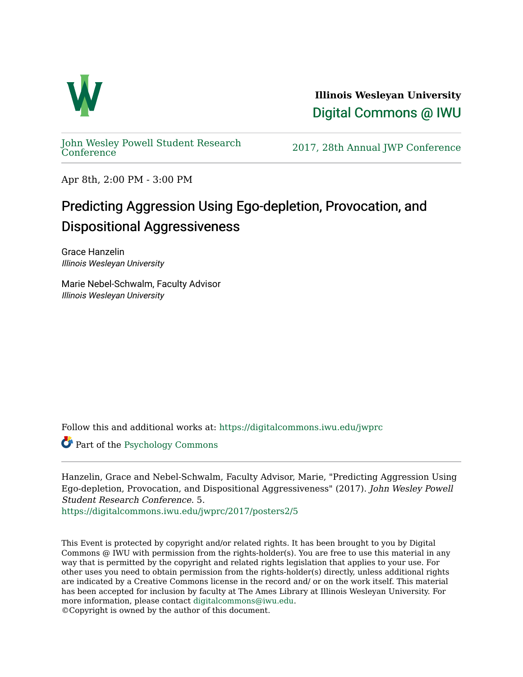

**Illinois Wesleyan University**  [Digital Commons @ IWU](https://digitalcommons.iwu.edu/) 

[John Wesley Powell Student Research](https://digitalcommons.iwu.edu/jwprc) 

2017, 28th Annual JWP [Conference](https://digitalcommons.iwu.edu/jwprc)

Apr 8th, 2:00 PM - 3:00 PM

## Predicting Aggression Using Ego-depletion, Provocation, and Dispositional Aggressiveness

Grace Hanzelin Illinois Wesleyan University

Marie Nebel-Schwalm, Faculty Advisor Illinois Wesleyan University

Follow this and additional works at: [https://digitalcommons.iwu.edu/jwprc](https://digitalcommons.iwu.edu/jwprc?utm_source=digitalcommons.iwu.edu%2Fjwprc%2F2017%2Fposters2%2F5&utm_medium=PDF&utm_campaign=PDFCoverPages) 

Part of the [Psychology Commons](http://network.bepress.com/hgg/discipline/404?utm_source=digitalcommons.iwu.edu%2Fjwprc%2F2017%2Fposters2%2F5&utm_medium=PDF&utm_campaign=PDFCoverPages)

Hanzelin, Grace and Nebel-Schwalm, Faculty Advisor, Marie, "Predicting Aggression Using Ego-depletion, Provocation, and Dispositional Aggressiveness" (2017). John Wesley Powell Student Research Conference. 5.

[https://digitalcommons.iwu.edu/jwprc/2017/posters2/5](https://digitalcommons.iwu.edu/jwprc/2017/posters2/5?utm_source=digitalcommons.iwu.edu%2Fjwprc%2F2017%2Fposters2%2F5&utm_medium=PDF&utm_campaign=PDFCoverPages)

This Event is protected by copyright and/or related rights. It has been brought to you by Digital Commons @ IWU with permission from the rights-holder(s). You are free to use this material in any way that is permitted by the copyright and related rights legislation that applies to your use. For other uses you need to obtain permission from the rights-holder(s) directly, unless additional rights are indicated by a Creative Commons license in the record and/ or on the work itself. This material has been accepted for inclusion by faculty at The Ames Library at Illinois Wesleyan University. For more information, please contact [digitalcommons@iwu.edu](mailto:digitalcommons@iwu.edu). ©Copyright is owned by the author of this document.